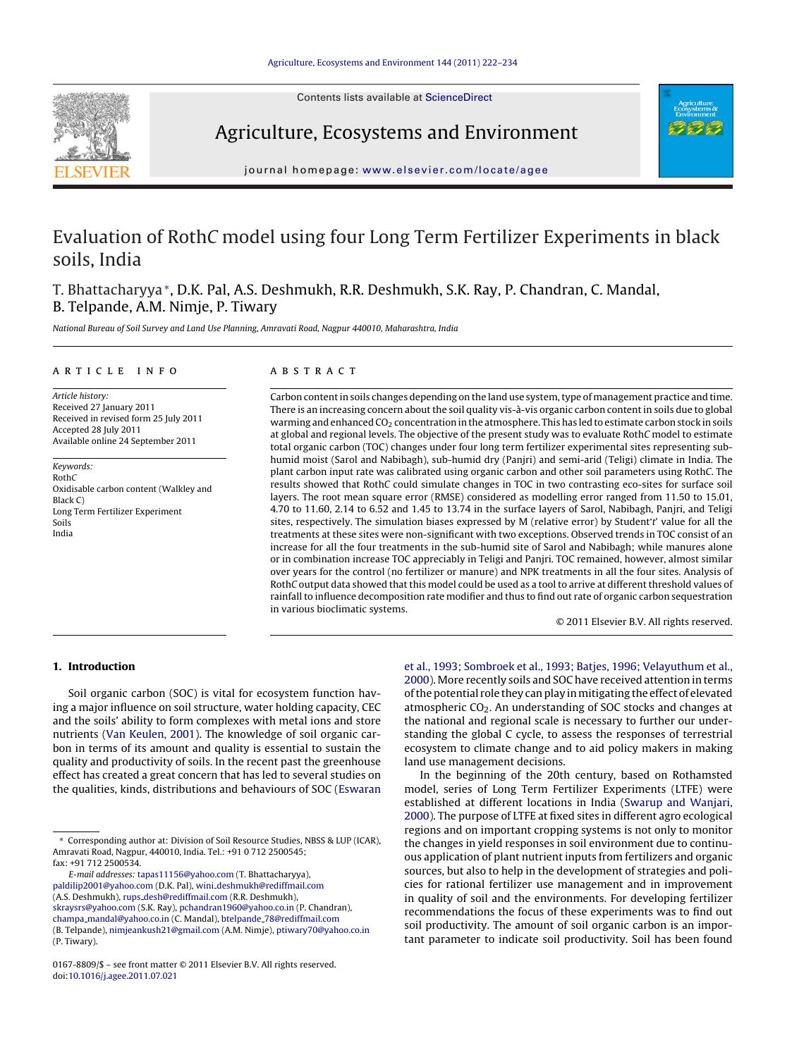Contents lists available at [ScienceDirect](http://www.sciencedirect.com/science/journal/01678809)



Agriculture, Ecosystems and Environment



journal homepage: [www.elsevier.com/locate/agee](http://www.elsevier.com/locate/agee)

# Evaluation of RothC model using four Long Term Fertilizer Experiments in black soils, India

T. Bhattacharyya∗, D.K. Pal, A.S. Deshmukh, R.R. Deshmukh, S.K. Ray, P. Chandran, C. Mandal, B. Telpande, A.M. Nimje, P. Tiwary

National Bureau of Soil Survey and Land Use Planning, Amravati Road, Nagpur 440010, Maharashtra, India

#### article info

Article history: Received 27 January 2011 Received in revised form 25 July 2011 Accepted 28 July 2011 Available online 24 September 2011

Keywords: RothC Oxidisable carbon content (Walkley and Black C) Long Term Fertilizer Experiment Soils India

# **ABSTRACT**

Carbon content in soils changes depending on the land use system, type of management practice and time. There is an increasing concern about the soil quality vis-à-vis organic carbon content in soils due to global warming and enhanced CO<sub>2</sub> concentration in the atmosphere. This has led to estimate carbon stock in soils at global and regional levels. The objective of the present study was to evaluate RothC model to estimate total organic carbon (TOC) changes under four long term fertilizer experimental sites representing subhumid moist (Sarol and Nabibagh), sub-humid dry (Panjri) and semi-arid (Teligi) climate in India. The plant carbon input rate was calibrated using organic carbon and other soil parameters using RothC. The results showed that RothC could simulate changes in TOC in two contrasting eco-sites for surface soil layers. The root mean square error (RMSE) considered as modelling error ranged from 11.50 to 15.01, 4.70 to 11.60, 2.14 to 6.52 and 1.45 to 13.74 in the surface layers of Sarol, Nabibagh, Panjri, and Teligi sites, respectively. The simulation biases expressed by M (relative error) by Student't' value for all the treatments at these sites were non-significant with two exceptions. Observed trends in TOC consist of an increase for all the four treatments in the sub-humid site of Sarol and Nabibagh; while manures alone or in combination increase TOC appreciably in Teligi and Panjri. TOC remained, however, almost similar over years for the control (no fertilizer or manure) and NPK treatments in all the four sites. Analysis of RothC output data showed that this model could be used as a tool to arrive at different threshold values of rainfall to influence decomposition rate modifier and thus to find out rate of organic carbon sequestration in various bioclimatic systems.

© 2011 Elsevier B.V. All rights reserved.

# **1. Introduction**

Soil organic carbon (SOC) is vital for ecosystem function having a major influence on soil structure, water holding capacity, CEC and the soils' ability to form complexes with metal ions and store nutrients ([Van Keulen, 2001\).](#page-12-0) The knowledge of soil organic carbon in terms of its amount and quality is essential to sustain the quality and productivity of soils. In the recent past the greenhouse effect has created a great concern that has led to several studies on the qualities, kinds, distributions and behaviours of SOC ([Eswaran](#page-11-0)

E-mail addresses: [tapas11156@yahoo.com](mailto:tapas11156@yahoo.com) (T. Bhattacharyya), [paldilip2001@yahoo.com](mailto:paldilip2001@yahoo.com) (D.K. Pal), wini [deshmukh@rediffmail.com](mailto:wini_deshmukh@rediffmail.com) (A.S. Deshmukh), rups\_[desh@rediffmail.com](mailto:rups_desh@rediffmail.com) (R.R. Deshmukh), [skraysrs@yahoo.com](mailto:skraysrs@yahoo.com) (S.K. Ray), [pchandran1960@yahoo.co.in](mailto:pchandran1960@yahoo.co.in) (P. Chandran), champa [mandal@yahoo.co.in](mailto:champa_mandal@yahoo.co.in) (C. Mandal), btelpande [78@rediffmail.com](mailto:btelpande_78@rediffmail.com)

(B. Telpande), [nimjeankush21@gmail.com](mailto:nimjeankush21@gmail.com) (A.M. Nimje), [ptiwary70@yahoo.co.in](mailto:ptiwary70@yahoo.co.in) (P. Tiwary).

[et al., 1993; Sombroek et al., 1993; Batjes, 1996; Velayuthum et al.,](#page-11-0) [2000\).](#page-11-0) More recently soils and SOC have received attention in terms of the potential role they can play in mitigating the effect of elevated atmospheric  $CO<sub>2</sub>$ . An understanding of SOC stocks and changes at the national and regional scale is necessary to further our understanding the global C cycle, to assess the responses of terrestrial ecosystem to climate change and to aid policy makers in making land use management decisions.

In the beginning of the 20th century, based on Rothamsted model, series of Long Term Fertilizer Experiments (LTFE) were established at different locations in India [\(Swarup and Wanjari,](#page-12-0) [2000\).](#page-12-0) The purpose of LTFE at fixed sites in different agro ecological regions and on important cropping systems is not only to monitor the changes in yield responses in soil environment due to continuous application of plant nutrient inputs from fertilizers and organic sources, but also to help in the development of strategies and policies for rational fertilizer use management and in improvement in quality of soil and the environments. For developing fertilizer recommendations the focus of these experiments was to find out soil productivity. The amount of soil organic carbon is an important parameter to indicate soil productivity. Soil has been found

<sup>∗</sup> Corresponding author at: Division of Soil Resource Studies, NBSS & LUP (ICAR), Amravati Road, Nagpur, 440010, India. Tel.: +91 0 712 2500545; fax: +91 712 2500534.

<sup>0167-8809/\$ –</sup> see front matter © 2011 Elsevier B.V. All rights reserved. doi:[10.1016/j.agee.2011.07.021](dx.doi.org/10.1016/j.agee.2011.07.021)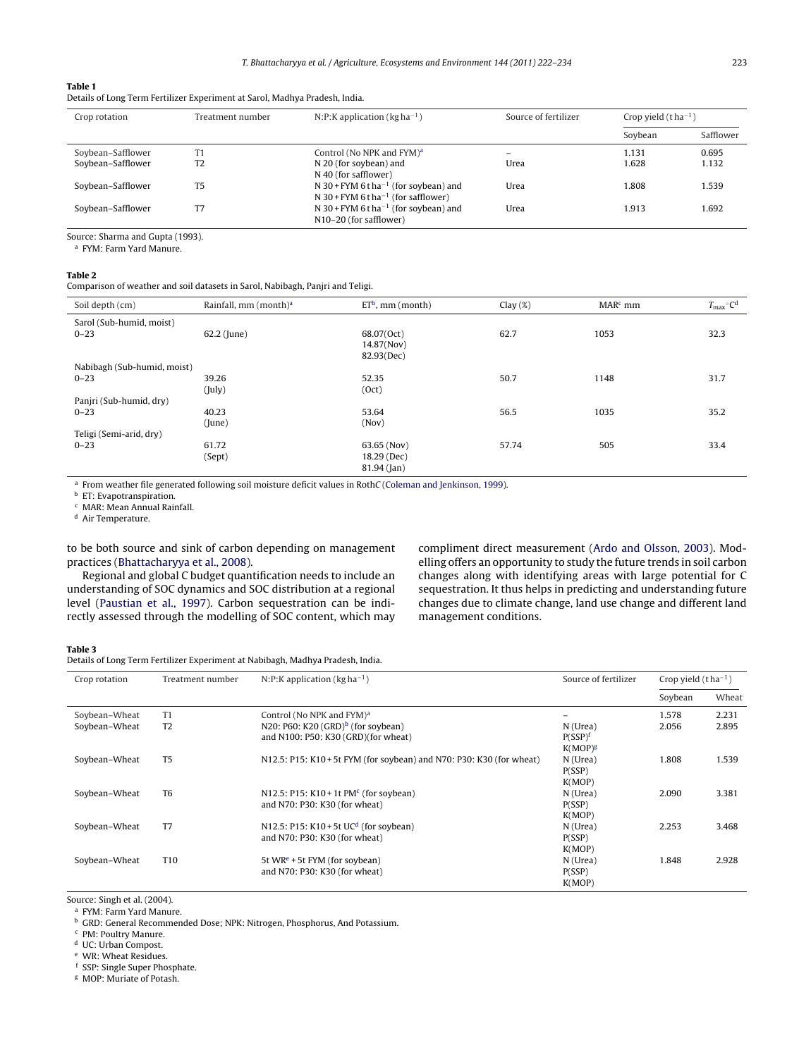#### <span id="page-1-0"></span>**Table 1**

Details of Long Term Fertilizer Experiment at Sarol, Madhya Pradesh, India.

| Crop rotation     | Treatment number | N:P:K application ( $kg$ ha <sup>-1</sup> )                                                          | Source of fertilizer     | Crop yield $(t ha^{-1})$ |           |
|-------------------|------------------|------------------------------------------------------------------------------------------------------|--------------------------|--------------------------|-----------|
|                   |                  |                                                                                                      |                          | Soybean                  | Safflower |
| Soybean-Safflower | T1               | Control (No NPK and FYM) <sup>a</sup>                                                                | $\overline{\phantom{a}}$ | 1.131                    | 0.695     |
| Soybean-Safflower | T <sub>2</sub>   | N 20 (for soybean) and<br>N 40 (for safflower)                                                       | Urea                     | 1.628                    | 1.132     |
| Soybean-Safflower | T <sub>5</sub>   | N 30 + FYM 6 t ha <sup>-1</sup> (for soybean) and<br>N 30 + FYM 6 t ha <sup>-1</sup> (for safflower) | Urea                     | 1.808                    | 1.539     |
| Soybean-Safflower | T7               | N 30 + FYM 6 t ha <sup>-1</sup> (for soybean) and<br>N10-20 (for safflower)                          | Urea                     | 1.913                    | 1.692     |

Source: Sharma and Gupta (1993).

<sup>a</sup> FYM: Farm Yard Manure.

#### **Table 2**

Comparison of weather and soil datasets in Sarol, Nabibagh, Panjri and Teligi.

| Soil depth (cm)             | Rainfall, mm $(month)^a$ | $ETb$ , mm (month) | Clay $(\%)$ | $MARc$ mm | $T_{\text{max}}$ °C <sup>d</sup> |
|-----------------------------|--------------------------|--------------------|-------------|-----------|----------------------------------|
| Sarol (Sub-humid, moist)    |                          |                    |             |           |                                  |
| $0 - 23$                    | 62.2 (June)              | 68.07(Oct)         | 62.7        | 1053      | 32.3                             |
|                             |                          | 14.87(Nov)         |             |           |                                  |
|                             |                          | 82.93(Dec)         |             |           |                                  |
| Nabibagh (Sub-humid, moist) |                          |                    |             |           |                                  |
| $0 - 23$                    | 39.26                    | 52.35              | 50.7        | 1148      | 31.7                             |
|                             | (July)                   | (Oct)              |             |           |                                  |
| Panjri (Sub-humid, dry)     |                          |                    |             |           |                                  |
| $0 - 23$                    | 40.23                    | 53.64              | 56.5        | 1035      | 35.2                             |
|                             | (lune)                   | (Nov)              |             |           |                                  |
| Teligi (Semi-arid, dry)     |                          |                    |             |           |                                  |
| $0 - 23$                    | 61.72                    | 63.65 (Nov)        | 57.74       | 505       | 33.4                             |
|                             | (Sept)                   | 18.29 (Dec)        |             |           |                                  |
|                             |                          | $81.94$ (Jan)      |             |           |                                  |
|                             |                          |                    |             |           |                                  |

<sup>a</sup> From weather file generated following soil moisture deficit values in RothC ([Coleman and Jenkinson, 1999\).](#page-11-0)

**b** ET: Evapotranspiration.

 $c$  MAR: Mean Annual Rainfall.

Air Temperature.

to be both source and sink of carbon depending on management practices [\(Bhattacharyya et al., 2008\).](#page-11-0)

Regional and global C budget quantification needs to include an understanding of SOC dynamics and SOC distribution at a regional level ([Paustian et al., 1997\).](#page-11-0) Carbon sequestration can be indirectly assessed through the modelling of SOC content, which may compliment direct measurement [\(Ardo and Olsson, 2003\).](#page-11-0) Modelling offers an opportunity to study the future trends in soil carbon changes along with identifying areas with large potential for C sequestration. It thus helps in predicting and understanding future changes due to climate change, land use change and different land management conditions.

# **Table 3**

Details of Long Term Fertilizer Experiment at Nabibagh, Madhya Pradesh, India.

| Crop rotation | Treatment number | N:P:K application ( $kg$ ha <sup>-1</sup> )<br>Source of fertilizer  |                     | Crop yield $(t ha^{-1})$ |       |
|---------------|------------------|----------------------------------------------------------------------|---------------------|--------------------------|-------|
|               |                  |                                                                      |                     | Soybean                  | Wheat |
| Soybean-Wheat | T <sub>1</sub>   | Control (No NPK and FYM) <sup>a</sup>                                | -                   | 1.578                    | 2.231 |
| Soybean-Wheat | T <sub>2</sub>   | N20: P60: K20 $(GRD)^b$ (for soybean)                                | N (Urea)            | 2.056                    | 2.895 |
|               |                  | and N100: P50: K30 (GRD)(for wheat)                                  | P(SSP) <sup>f</sup> |                          |       |
|               |                  |                                                                      | $K(MOP)^g$          |                          |       |
| Soybean-Wheat | T <sub>5</sub>   | N12.5: P15: K10 + 5t FYM (for soybean) and N70: P30: K30 (for wheat) | N (Urea)            | 1.808                    | 1.539 |
|               |                  |                                                                      | P(SSP)              |                          |       |
|               |                  |                                                                      | K(MOP)              |                          |       |
| Soybean-Wheat | T <sub>6</sub>   | N12.5: P15: K10 + 1t PM <sup>c</sup> (for soybean)                   | N (Urea)            | 2.090                    | 3.381 |
|               |                  | and N70: P30: K30 (for wheat)                                        | P(SSP)              |                          |       |
|               |                  |                                                                      | K(MOP)              |                          |       |
| Soybean-Wheat | T7               | N12.5: P15: K10 + 5t UC <sup>d</sup> (for soybean)                   | N (Urea)            | 2.253                    | 3.468 |
|               |                  | and N70: P30: K30 (for wheat)                                        | P(SSP)              |                          |       |
|               |                  |                                                                      | K(MOP)              |                          |       |
| Soybean-Wheat | T <sub>10</sub>  | 5t WR <sup>e</sup> + 5t FYM (for soybean)                            | N (Urea)            | 1.848                    | 2.928 |
|               |                  | and N70: P30: K30 (for wheat)                                        | P(SSP)              |                          |       |
|               |                  |                                                                      | K(MOP)              |                          |       |

Source: Singh et al. (2004).

<sup>a</sup> FYM: Farm Yard Manure.

<sup>b</sup> GRD: General Recommended Dose; NPK: Nitrogen, Phosphorus, And Potassium.

<sup>c</sup> PM: Poultry Manure.

<sup>d</sup> UC: Urban Compost.

<sup>e</sup> WR: Wheat Residues.

<sup>f</sup> SSP: Single Super Phosphate.

<sup>g</sup> MOP: Muriate of Potash.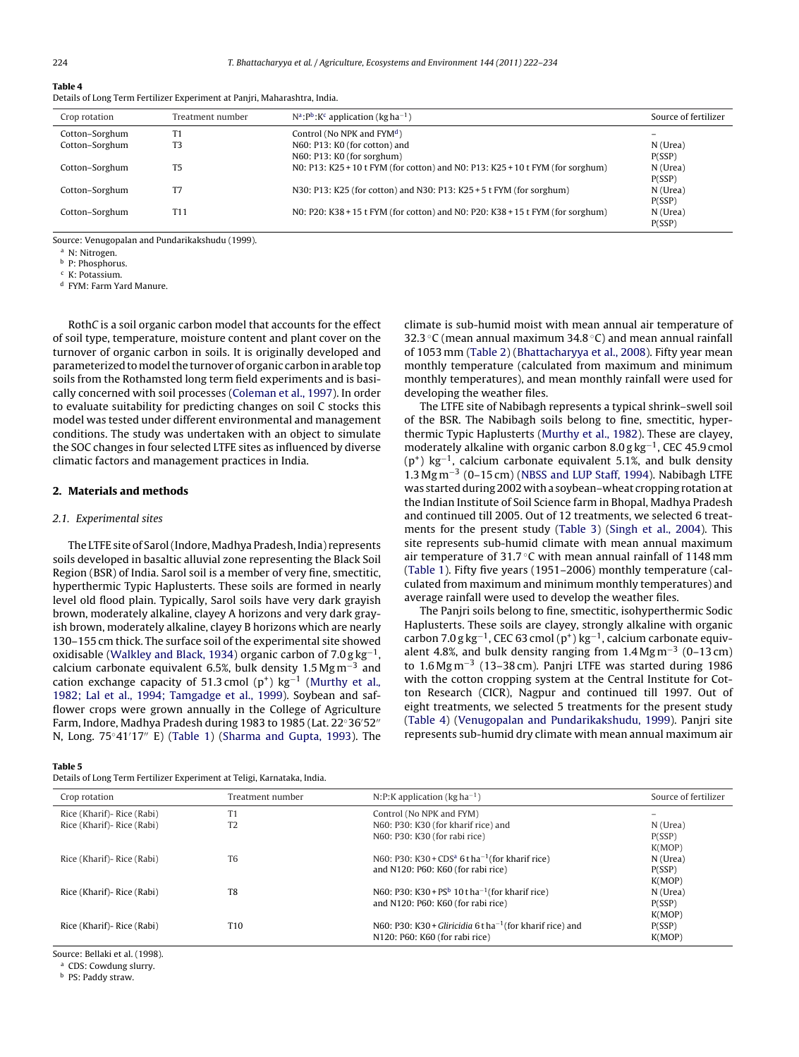# <span id="page-2-0"></span>**Table 4**

Details of Long Term Fertilizer Experiment at Panjri, Maharashtra, India.

| Crop rotation  | Treatment number | $N^a$ : $P^b$ : $K^c$ application (kg ha <sup>-1</sup> )                       | Source of fertilizer |
|----------------|------------------|--------------------------------------------------------------------------------|----------------------|
| Cotton-Sorghum | Τ1               | Control (No NPK and $FYMd$ )                                                   |                      |
| Cotton-Sorghum | T3               | N60: P13: K0 (for cotton) and                                                  | N (Urea)             |
|                |                  | N60: P13: K0 (for sorghum)                                                     | P(SSP)               |
| Cotton-Sorghum | T <sub>5</sub>   | NO: P13: K25 + 10 t FYM (for cotton) and NO: P13: K25 + 10 t FYM (for sorghum) | N (Urea)             |
|                |                  |                                                                                | P(SSP)               |
| Cotton-Sorghum |                  | N30: P13: K25 (for cotton) and N30: P13: K25 + 5 t FYM (for sorghum)           | N (Urea)             |
|                |                  |                                                                                | P(SSP)               |
| Cotton-Sorghum | T11              | NO: P20: K38 + 15 t FYM (for cotton) and NO: P20: K38 + 15 t FYM (for sorghum) | N (Urea)             |
|                |                  |                                                                                | P(SSP)               |

Source: Venugopalan and Pundarikakshudu (1999).

<sup>a</sup> N: Nitrogen.

<sup>b</sup> P: Phosphorus.

<sup>c</sup> K: Potassium.

<sup>d</sup> FYM: Farm Yard Manure.

RothC is a soil organic carbon model that accounts for the effect of soil type, temperature, moisture content and plant cover on the turnover of organic carbon in soils. It is originally developed and parameterized tomodel the turnover of organic carbon in arable top soils from the Rothamsted long term field experiments and is basically concerned with soil processes ([Coleman et al., 1997\).](#page-11-0) In order to evaluate suitability for predicting changes on soil C stocks this model was tested under different environmental and management conditions. The study was undertaken with an object to simulate the SOC changes in four selected LTFE sites as influenced by diverse climatic factors and management practices in India.

#### **2. Materials and methods**

#### 2.1. Experimental sites

The LTFE site of Sarol (Indore, Madhya Pradesh, India) represents soils developed in basaltic alluvial zone representing the Black Soil Region (BSR) of India. Sarol soil is a member of very fine, smectitic, hyperthermic Typic Haplusterts. These soils are formed in nearly level old flood plain. Typically, Sarol soils have very dark grayish brown, moderately alkaline, clayey A horizons and very dark grayish brown, moderately alkaline, clayey B horizons which are nearly 130–155 cm thick. The surface soil of the experimental site showed oxidisable [\(Walkley and Black, 1934\)](#page-12-0) organic carbon of  $7.0 g kg^{-1}$ , calcium carbonate equivalent 6.5%, bulk density 1.5 Mg m<sup>-3</sup> and cation exchange capacity of 51.3 cmol (p<sup>+</sup>) kg<sup>-1</sup> [\(Murthy et al.](#page-11-0), [1982; Lal et al., 1994; Tamgadge et al., 1999\).](#page-11-0) Soybean and safflower crops were grown annually in the College of Agriculture Farm, Indore, Madhya Pradesh during 1983 to 1985 (Lat. 22◦36 52 N, Long. 75◦41 17 E) ([Table 1\)](#page-1-0) [\(Sharma and Gupta, 1993\).](#page-11-0) The

#### **Table 5**

Details of Long Term Fertilizer Experiment at Teligi, Karnataka, India.

climate is sub-humid moist with mean annual air temperature of 32.3 °C (mean annual maximum 34.8 °C) and mean annual rainfall of 1053 mm [\(Table 2\) \(](#page-1-0)[Bhattacharyya et al., 2008\).](#page-11-0) Fifty year mean monthly temperature (calculated from maximum and minimum monthly temperatures), and mean monthly rainfall were used for developing the weather files.

The LTFE site of Nabibagh represents a typical shrink–swell soil of the BSR. The Nabibagh soils belong to fine, smectitic, hyperthermic Typic Haplusterts ([Murthy et al., 1982\).](#page-11-0) These are clayey, moderately alkaline with organic carbon  $8.0$  g kg<sup>-1</sup>, CEC 45.9 cmol  $(p<sup>+</sup>)$  kg<sup>-1</sup>, calcium carbonate equivalent 5.1%, and bulk density 1.3 Mg m−<sup>3</sup> (0–15 cm) ([NBSS and LUP Staff, 1994\).](#page-11-0) Nabibagh LTFE was started during 2002 with a soybean–wheat cropping rotation at the Indian Institute of Soil Science farm in Bhopal, Madhya Pradesh and continued till 2005. Out of 12 treatments, we selected 6 treatments for the present study [\(Table 3\)](#page-1-0) ([Singh et al., 2004\).](#page-11-0) This site represents sub-humid climate with mean annual maximum air temperature of 31.7 ◦C with mean annual rainfall of 1148 mm [\(Table 1\).](#page-1-0) Fifty five years (1951–2006) monthly temperature (calculated from maximum and minimum monthly temperatures) and average rainfall were used to develop the weather files.

The Panjri soils belong to fine, smectitic, isohyperthermic Sodic Haplusterts. These soils are clayey, strongly alkaline with organic carbon 7.0 g kg<sup>-1</sup>, CEC 63 cmol (p<sup>+</sup>) kg<sup>-1</sup>, calcium carbonate equivalent 4.8%, and bulk density ranging from  $1.4 \,\text{Mg m}^{-3}$  (0–13 cm) to  $1.6$  Mg m<sup>-3</sup> (13–38 cm). Panjri LTFE was started during 1986 with the cotton cropping system at the Central Institute for Cotton Research (CICR), Nagpur and continued till 1997. Out of eight treatments, we selected 5 treatments for the present study (Table 4) ([Venugopalan and Pundarikakshudu, 1999\).](#page-12-0) Panjri site represents sub-humid dry climate with mean annual maximum air

| Crop rotation               | Treatment number | N:P:K application ( $kg$ ha <sup>-1</sup> )                             | Source of fertilizer |
|-----------------------------|------------------|-------------------------------------------------------------------------|----------------------|
| Rice (Kharif) - Rice (Rabi) | T1               | Control (No NPK and FYM)                                                |                      |
| Rice (Kharif) - Rice (Rabi) | T <sub>2</sub>   | N60: P30: K30 (for kharif rice) and                                     | N (Urea)             |
|                             |                  | N60: P30: K30 (for rabi rice)                                           | P(SSP)               |
|                             |                  |                                                                         | K(MOP)               |
| Rice (Kharif) - Rice (Rabi) | T <sub>6</sub>   | N60: P30: K30 + CDS <sup>a</sup> 6 t ha <sup>-1</sup> (for kharif rice) | N(Urea)              |
|                             |                  | and N120: P60: K60 (for rabi rice)                                      | P(SSP)               |
|                             |                  |                                                                         | K(MOP)               |
| Rice (Kharif) - Rice (Rabi) | T <sub>8</sub>   | N60: P30: K30 + PS <sup>b</sup> 10tha <sup>-1</sup> (for kharif rice)   | N(Urea)              |
|                             |                  | and N120: P60: K60 (for rabi rice)                                      | P(SSP)               |
|                             |                  |                                                                         | K(MOP)               |
| Rice (Kharif) - Rice (Rabi) | T10              | N60: P30: K30 + Gliricidia 6 t ha <sup>-1</sup> (for kharif rice) and   | P(SSP)               |
|                             |                  | N120: P60: K60 (for rabi rice)                                          | K(MOP)               |

Source: Bellaki et al. (1998).

<sup>a</sup> CDS: Cowdung slurry.

<sup>b</sup> PS: Paddy straw.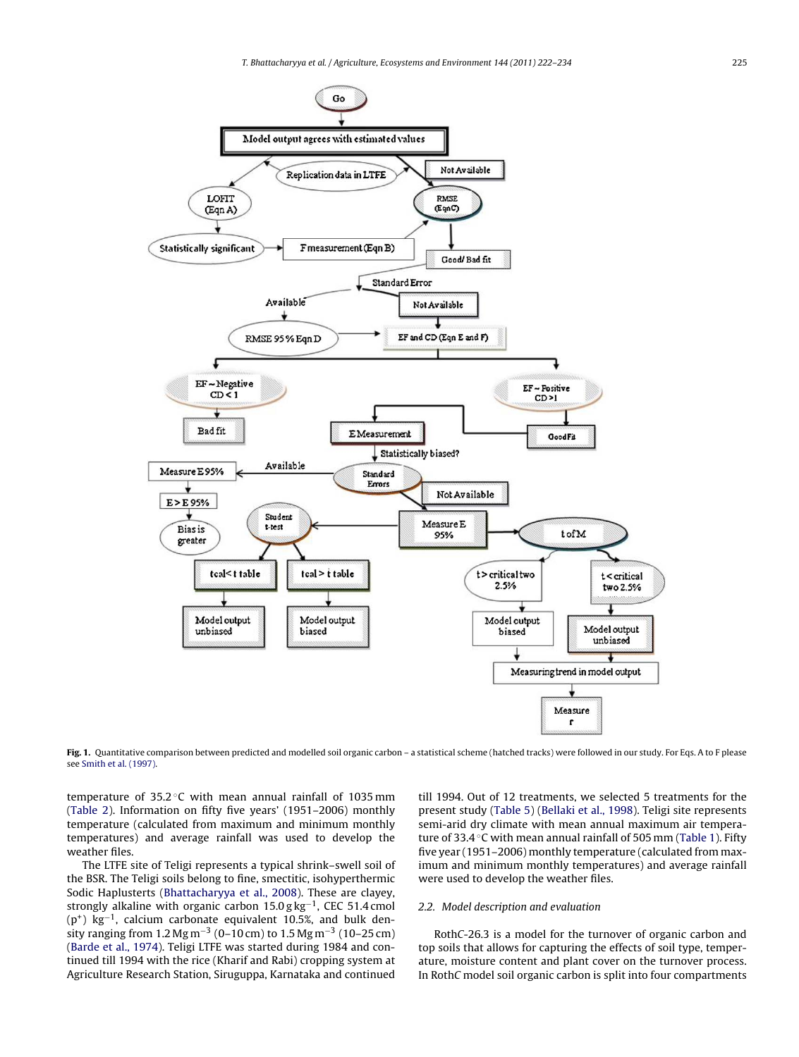<span id="page-3-0"></span>

Fig. 1. Quantitative comparison between predicted and modelled soil organic carbon - a statistical scheme (hatched tracks) were followed in our study. For Eqs. A to F please see [Smith et al. \(1997\).](#page-11-0)

temperature of  $35.2^{\circ}$ C with mean annual rainfall of 1035 mm ([Table 2\).](#page-1-0) Information on fifty five years' (1951–2006) monthly temperature (calculated from maximum and minimum monthly temperatures) and average rainfall was used to develop the weather files.

The LTFE site of Teligi represents a typical shrink–swell soil of the BSR. The Teligi soils belong to fine, smectitic, isohyperthermic Sodic Haplusterts [\(Bhattacharyya et al., 2008\).](#page-11-0) These are clayey, strongly alkaline with organic carbon 15.0 g kg<sup>-1</sup>, CEC 51.4 cmol (p+) kg−1, calcium carbonate equivalent 10.5%, and bulk density ranging from 1.2 Mg m<sup>-3</sup> (0–10 cm) to 1.5 Mg m<sup>-3</sup> (10–25 cm) ([Barde et al., 1974\).](#page-11-0) Teligi LTFE was started during 1984 and continued till 1994 with the rice (Kharif and Rabi) cropping system at Agriculture Research Station, Siruguppa, Karnataka and continued

till 1994. Out of 12 treatments, we selected 5 treatments for the present study [\(Table 5\)](#page-2-0) [\(Bellaki et al., 1998\).](#page-11-0) Teligi site represents semi-arid dry climate with mean annual maximum air temperature of 33.4 ◦C with mean annual rainfall of 505 mm ([Table 1\).](#page-1-0) Fifty five year (1951–2006) monthly temperature (calculated from maximum and minimum monthly temperatures) and average rainfall were used to develop the weather files.

#### 2.2. Model description and evaluation

RothC-26.3 is a model for the turnover of organic carbon and top soils that allows for capturing the effects of soil type, temperature, moisture content and plant cover on the turnover process. In RothC model soil organic carbon is split into four compartments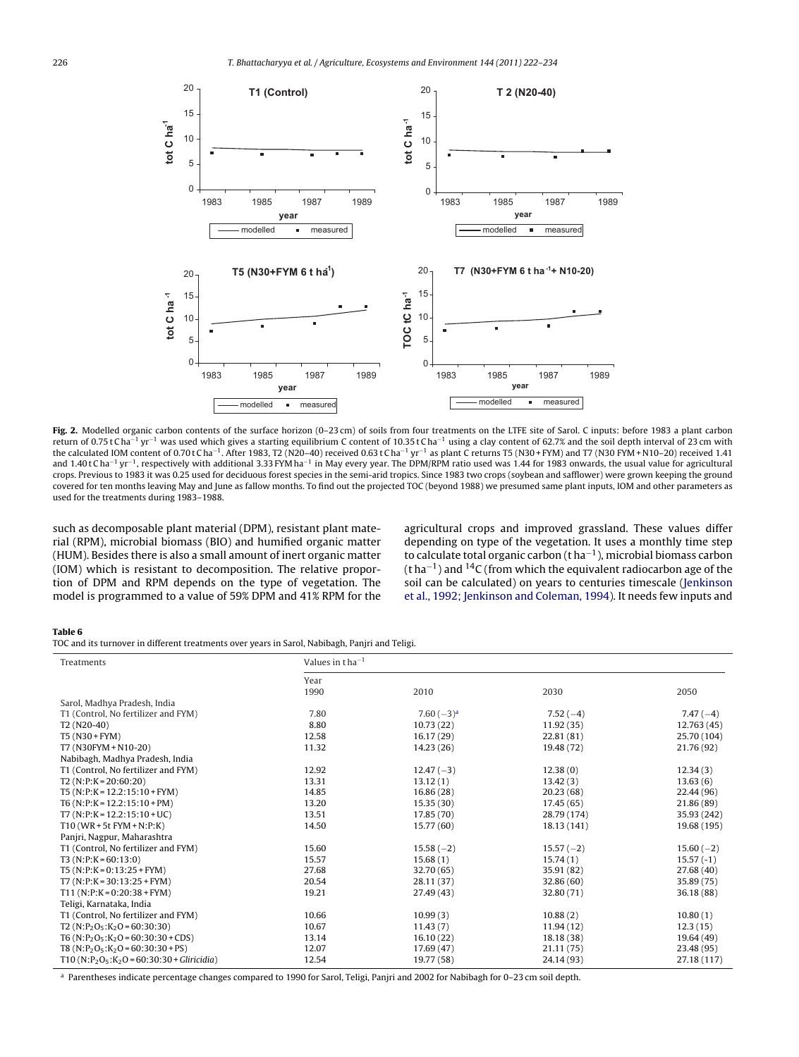<span id="page-4-0"></span>

**Fig. 2.** Modelled organic carbon contents of the surface horizon (0–23 cm) of soils from four treatments on the LTFE site of Sarol. C inputs: before 1983 a plant carbon return of 0.75 t Cha<sup>-1</sup> yr<sup>-1</sup> was used which gives a starting equilibrium C content of 10.35 t Cha<sup>-1</sup> using a clay content of 62.7% and the soil depth interval of 23 cm with the calculated IOM content of 0.70 t Cha<sup>-1</sup>. After 1983, T2 (N20-40) received 0.63 t Cha<sup>-1</sup> yr<sup>-1</sup> as plant C returns T5 (N30 + FYM) and T7 (N30 FYM + N10-20) received 1.41 and 1.40t Cha<sup>-1</sup> yr<sup>-1</sup>, respectively with additional 3.33 FYM ha<sup>-1</sup> in May every year. The DPM/RPM ratio used was 1.44 for 1983 onwards, the usual value for agricultural crops. Previous to 1983 it was 0.25 used for deciduous forest species in the semi-arid tropics. Since 1983 two crops (soybean and safflower) were grown keeping the ground covered for ten months leaving May and June as fallow months. To find out the projected TOC (beyond 1988) we presumed same plant inputs, IOM and other parameters as used for the treatments during 1983–1988.

such as decomposable plant material (DPM), resistant plant material (RPM), microbial biomass (BIO) and humified organic matter (HUM). Besides there is also a small amount of inert organic matter (IOM) which is resistant to decomposition. The relative proportion of DPM and RPM depends on the type of vegetation. The model is programmed to a value of 59% DPM and 41% RPM for the

agricultural crops and improved grassland. These values differ depending on type of the vegetation. It uses a monthly time step to calculate total organic carbon (t ha−1), microbial biomass carbon (t ha−1) and 14C (from which the equivalent radiocarbon age of the soil can be calculated) on years to centuries timescale [\(Jenkinson](#page-11-0) [et al., 1992; Jenkinson and Coleman, 1994\).](#page-11-0) It needs few inputs and

#### **Table 6**

TOC and its turnover in different treatments over years in Sarol, Nabibagh, Panjri and Teligi.

| Treatments                                                                      | Values in $t$ ha <sup>-1</sup> |             |             |             |
|---------------------------------------------------------------------------------|--------------------------------|-------------|-------------|-------------|
|                                                                                 | Year                           |             |             |             |
|                                                                                 | 1990                           | 2010        | 2030        | 2050        |
| Sarol, Madhya Pradesh, India                                                    |                                |             |             |             |
| T1 (Control, No fertilizer and FYM)                                             | 7.80                           | $7.60(-3)a$ | $7.52(-4)$  | $7.47(-4)$  |
| T <sub>2</sub> (N <sub>20</sub> -40)                                            | 8.80                           | 10.73(22)   | 11.92(35)   | 12.763 (45) |
| T5 (N30 + FYM)                                                                  | 12.58                          | 16.17(29)   | 22.81 (81)  | 25.70 (104) |
| T7 (N30FYM + N10-20)                                                            | 11.32                          | 14.23 (26)  | 19.48 (72)  | 21.76 (92)  |
| Nabibagh, Madhya Pradesh, India                                                 |                                |             |             |             |
| T1 (Control, No fertilizer and FYM)                                             | 12.92                          | $12.47(-3)$ | 12.38(0)    | 12.34(3)    |
| $T2(N:P:K=20:60:20)$                                                            | 13.31                          | 13.12(1)    | 13.42(3)    | 13.63(6)    |
| $T5(N:P:K = 12.2:15:10 + FYM)$                                                  | 14.85                          | 16.86 (28)  | 20.23(68)   | 22.44 (96)  |
| $T6(N:P:K = 12.2:15:10+PM)$                                                     | 13.20                          | 15.35(30)   | 17.45(65)   | 21.86 (89)  |
| $T7 (N:P:K = 12.2:15:10+UC)$                                                    | 13.51                          | 17.85 (70)  | 28.79 (174) | 35.93 (242) |
| $T10$ (WR + 5t FYM + N; P; K)                                                   | 14.50                          | 15.77(60)   | 18.13 (141) | 19.68 (195) |
| Panjri, Nagpur, Maharashtra                                                     |                                |             |             |             |
| T1 (Control, No fertilizer and FYM)                                             | 15.60                          | $15.58(-2)$ | $15.57(-2)$ | $15.60(-2)$ |
| $T3(N:P:K=60:13:0)$                                                             | 15.57                          | 15.68(1)    | 15.74(1)    | $15.57(-1)$ |
| $T5(N:P:K=0:13:25+FYM)$                                                         | 27.68                          | 32.70 (65)  | 35.91 (82)  | 27.68(40)   |
| $T7 (N:P:K = 30:13:25 + FYM)$                                                   | 20.54                          | 28.11 (37)  | 32.86(60)   | 35.89 (75)  |
| $T11(N:P:K=0:20:38+FYM)$                                                        | 19.21                          | 27.49 (43)  | 32.80 (71)  | 36.18(88)   |
| Teligi, Karnataka, India                                                        |                                |             |             |             |
| T1 (Control, No fertilizer and FYM)                                             | 10.66                          | 10.99(3)    | 10.88(2)    | 10.80(1)    |
| $T2 (N: P_2O_5: K_2O = 60:30:30)$                                               | 10.67                          | 11.43(7)    | 11.94(12)   | 12.3(15)    |
| T6 (N:P <sub>2</sub> O <sub>5</sub> :K <sub>2</sub> O = 60:30:30 + CDS)         | 13.14                          | 16.10(22)   | 18.18 (38)  | 19.64 (49)  |
| T8 (N:P <sub>2</sub> O <sub>5</sub> :K <sub>2</sub> O = 60:30:30 + PS)          | 12.07                          | 17.69(47)   | 21.11(75)   | 23.48 (95)  |
| T10 (N:P <sub>2</sub> O <sub>5</sub> :K <sub>2</sub> O = 60:30:30 + Gliricidia) | 12.54                          | 19,77 (58)  | 24.14 (93)  | 27.18 (117) |

<sup>a</sup> Parentheses indicate percentage changes compared to 1990 for Sarol, Teligi, Panjri and 2002 for Nabibagh for 0–23 cm soil depth.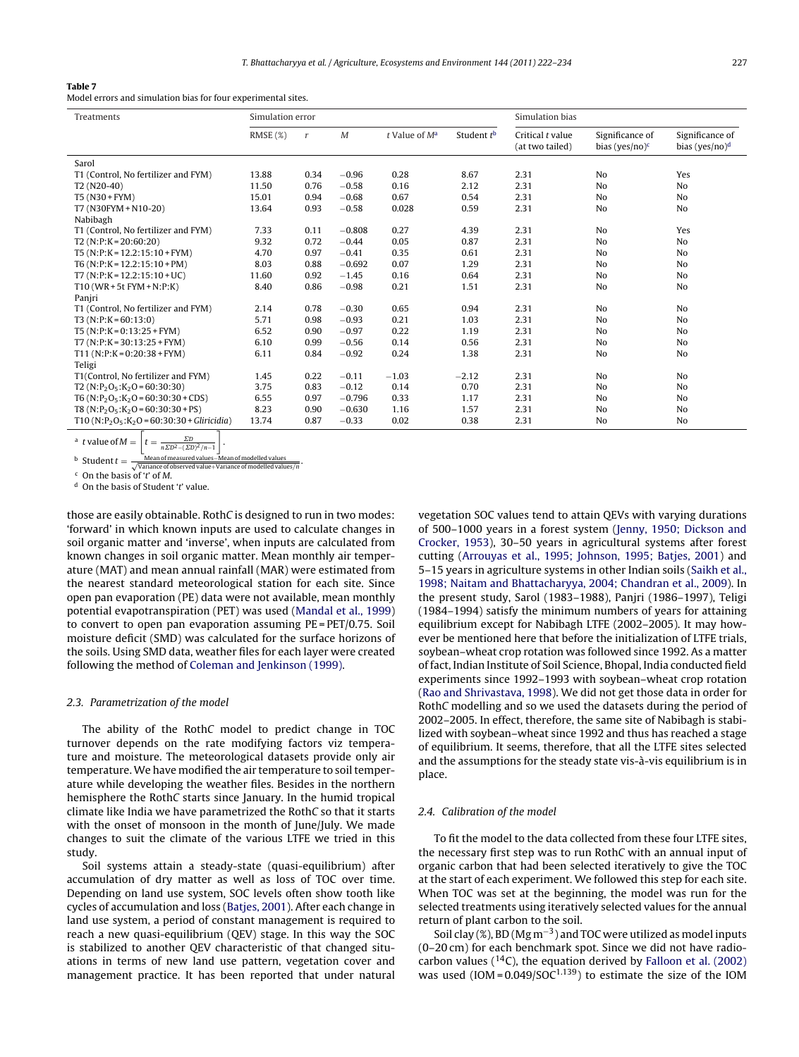#### <span id="page-5-0"></span>**Table 7**

Model errors and simulation bias for four experimental sites.

| Treatments                                                                                          | Simulation error |      |          |                    |                        | Simulation bias                     |                                      |                                               |
|-----------------------------------------------------------------------------------------------------|------------------|------|----------|--------------------|------------------------|-------------------------------------|--------------------------------------|-----------------------------------------------|
|                                                                                                     | RMSE(%)          | r    | M        | $t$ Value of $M^a$ | Student t <sup>b</sup> | Critical t value<br>(at two tailed) | Significance of<br>bias (yes/no) $c$ | Significance of<br>bias (yes/no) <sup>d</sup> |
| Sarol                                                                                               |                  |      |          |                    |                        |                                     |                                      |                                               |
| T1 (Control, No fertilizer and FYM)                                                                 | 13.88            | 0.34 | $-0.96$  | 0.28               | 8.67                   | 2.31                                | N <sub>o</sub>                       | Yes                                           |
| T <sub>2</sub> (N <sub>20-40</sub> )                                                                | 11.50            | 0.76 | $-0.58$  | 0.16               | 2.12                   | 2.31                                | No                                   | No                                            |
| T5 (N30 + FYM)                                                                                      | 15.01            | 0.94 | $-0.68$  | 0.67               | 0.54                   | 2.31                                | No                                   | No                                            |
| T7 (N30FYM + N10-20)                                                                                | 13.64            | 0.93 | $-0.58$  | 0.028              | 0.59                   | 2.31                                | No                                   | No                                            |
| Nabibagh                                                                                            |                  |      |          |                    |                        |                                     |                                      |                                               |
| T1 (Control, No fertilizer and FYM)                                                                 | 7.33             | 0.11 | $-0.808$ | 0.27               | 4.39                   | 2.31                                | No                                   | Yes                                           |
| $T2(N:P:K=20:60:20)$                                                                                | 9.32             | 0.72 | $-0.44$  | 0.05               | 0.87                   | 2.31                                | N <sub>o</sub>                       | No                                            |
| $T5(N:P:K = 12.2:15:10 + FYM)$                                                                      | 4.70             | 0.97 | $-0.41$  | 0.35               | 0.61                   | 2.31                                | N <sub>o</sub>                       | N <sub>0</sub>                                |
| $T6(N:P:K = 12.2:15:10+PM)$                                                                         | 8.03             | 0.88 | $-0.692$ | 0.07               | 1.29                   | 2.31                                | No                                   | No                                            |
| $T7 (N:P:K = 12.2:15:10+UC)$                                                                        | 11.60            | 0.92 | $-1.45$  | 0.16               | 0.64                   | 2.31                                | N <sub>o</sub>                       | No                                            |
| $T10$ (WR + 5t FYM + N;P;K)                                                                         | 8.40             | 0.86 | $-0.98$  | 0.21               | 1.51                   | 2.31                                | No                                   | No                                            |
| Panjri                                                                                              |                  |      |          |                    |                        |                                     |                                      |                                               |
| T1 (Control, No fertilizer and FYM)                                                                 | 2.14             | 0.78 | $-0.30$  | 0.65               | 0.94                   | 2.31                                | N <sub>o</sub>                       | No                                            |
| $T3(N:P:K=60:13:0)$                                                                                 | 5.71             | 0.98 | $-0.93$  | 0.21               | 1.03                   | 2.31                                | No                                   | No                                            |
| $T5(N:P:K=0:13:25+FYM)$                                                                             | 6.52             | 0.90 | $-0.97$  | 0.22               | 1.19                   | 2.31                                | No                                   | No                                            |
| $T7 (N:P:K=30:13:25+FYM)$                                                                           | 6.10             | 0.99 | $-0.56$  | 0.14               | 0.56                   | 2.31                                | No                                   | N <sub>0</sub>                                |
| $T11(N:P:K=0:20:38+FYM)$                                                                            | 6.11             | 0.84 | $-0.92$  | 0.24               | 1.38                   | 2.31                                | N <sub>o</sub>                       | No                                            |
| Teligi                                                                                              |                  |      |          |                    |                        |                                     |                                      |                                               |
| T1(Control, No fertilizer and FYM)                                                                  | 1.45             | 0.22 | $-0.11$  | $-1.03$            | $-2.12$                | 2.31                                | No                                   | N <sub>o</sub>                                |
| T2 (N:P <sub>2</sub> O <sub>5</sub> :K <sub>2</sub> O = 60:30:30)                                   | 3.75             | 0.83 | $-0.12$  | 0.14               | 0.70                   | 2.31                                | N <sub>o</sub>                       | N <sub>0</sub>                                |
| T6 (N:P <sub>2</sub> O <sub>5</sub> :K <sub>2</sub> O = 60:30:30 + CDS)                             | 6.55             | 0.97 | $-0.796$ | 0.33               | 1.17                   | 2.31                                | No                                   | N <sub>0</sub>                                |
| $T8(N: P_2O_5: K_2O = 60:30:30 + PS)$                                                               | 8.23             | 0.90 | $-0.630$ | 1.16               | 1.57                   | 2.31                                | N <sub>o</sub>                       | N <sub>0</sub>                                |
| T10 (N:P <sub>2</sub> O <sub>5</sub> :K <sub>2</sub> O = 60:30:30 + Gliricidia)                     | 13.74            | 0.87 | $-0.33$  | 0.02               | 0.38                   | 2.31                                | No                                   | No                                            |
| <sup>a</sup> <i>t</i> value of $M = \left  t = \frac{2D}{n\Sigma D^2 - (\Sigma D)^2/n - 1} \right $ |                  |      |          |                    |                        |                                     |                                      |                                               |

b Student  $t = \frac{\text{Mean of measured values} - \text{Mean of modelled values}}{\sqrt{\text{Variance of observed value} + \text{Variance of modelled values}}/n}$ .

 $\epsilon$  On the basis of 't' of M.

 $d$  On the basis of Student 't' value.

those are easily obtainable. RothC is designed to run in two modes: 'forward' in which known inputs are used to calculate changes in soil organic matter and 'inverse', when inputs are calculated from known changes in soil organic matter. Mean monthly air temperature (MAT) and mean annual rainfall (MAR) were estimated from the nearest standard meteorological station for each site. Since open pan evaporation (PE) data were not available, mean monthly potential evapotranspiration (PET) was used [\(Mandal et al., 1999\)](#page-11-0) to convert to open pan evaporation assuming PE = PET/0.75. Soil moisture deficit (SMD) was calculated for the surface horizons of the soils. Using SMD data, weather files for each layer were created following the method of [Coleman and Jenkinson \(1999\).](#page-11-0)

#### 2.3. Parametrization of the model

The ability of the RothC model to predict change in TOC turnover depends on the rate modifying factors viz temperature and moisture. The meteorological datasets provide only air temperature. We have modified the air temperature to soil temperature while developing the weather files. Besides in the northern hemisphere the RothC starts since January. In the humid tropical climate like India we have parametrized the RothC so that it starts with the onset of monsoon in the month of June/July. We made changes to suit the climate of the various LTFE we tried in this study.

Soil systems attain a steady-state (quasi-equilibrium) after accumulation of dry matter as well as loss of TOC over time. Depending on land use system, SOC levels often show tooth like cycles of accumulation and loss [\(Batjes, 2001\).](#page-11-0) After each change in land use system, a period of constant management is required to reach a new quasi-equilibrium (QEV) stage. In this way the SOC is stabilized to another QEV characteristic of that changed situations in terms of new land use pattern, vegetation cover and management practice. It has been reported that under natural vegetation SOC values tend to attain QEVs with varying durations of 500–1000 years in a forest system [\(Jenny, 1950; Dickson and](#page-11-0) [Crocker, 1953\),](#page-11-0) 30–50 years in agricultural systems after forest cutting ([Arrouyas et al., 1995; Johnson, 1995; Batjes, 2001\)](#page-11-0) and 5–15 years in agriculture systems in other Indian soils [\(Saikh et al.,](#page-11-0) [1998; Naitam and Bhattacharyya, 2004; Chandran et al., 2009\).](#page-11-0) In the present study, Sarol (1983–1988), Panjri (1986–1997), Teligi (1984–1994) satisfy the minimum numbers of years for attaining equilibrium except for Nabibagh LTFE (2002–2005). It may however be mentioned here that before the initialization of LTFE trials, soybean–wheat crop rotation was followed since 1992. As a matter of fact, Indian Institute of Soil Science, Bhopal, India conducted field experiments since 1992–1993 with soybean–wheat crop rotation [\(Rao and Shrivastava, 1998\).](#page-11-0) We did not get those data in order for RothC modelling and so we used the datasets during the period of 2002–2005. In effect, therefore, the same site of Nabibagh is stabilized with soybean–wheat since 1992 and thus has reached a stage of equilibrium. It seems, therefore, that all the LTFE sites selected and the assumptions for the steady state vis-à-vis equilibrium is in place.

# 2.4. Calibration of the model

To fit the model to the data collected from these four LTFE sites, the necessary first step was to run RothC with an annual input of organic carbon that had been selected iteratively to give the TOC at the start of each experiment. We followed this step for each site. When TOC was set at the beginning, the model was run for the selected treatments using iteratively selected values for the annual return of plant carbon to the soil.

Soil clay (%), BD (Mg m−3) and TOC were utilized as model inputs (0–20 cm) for each benchmark spot. Since we did not have radiocarbon values  $(14)$ , the equation derived by [Falloon et al. \(2002\)](#page-11-0) was used  $(10M = 0.049/SOC^{1.139})$  to estimate the size of the IOM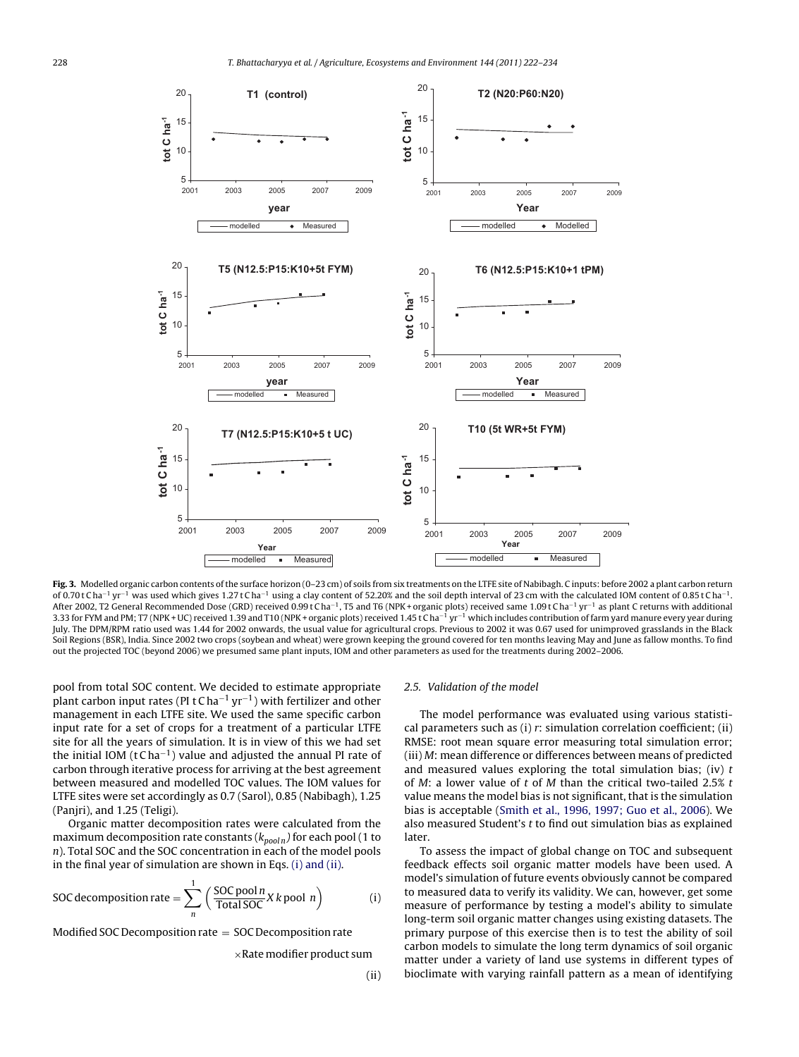<span id="page-6-0"></span>

**Fig. 3.** Modelled organic carbon contents of the surface horizon (0–23 cm) of soils from six treatments on the LTFE site of Nabibagh. C inputs: before 2002 a plant carbon return of 0.70 t C ha<sup>-1</sup> yr<sup>-1</sup> was used which gives 1.27 t C ha<sup>-1</sup> using a clay content of 52.20% and the soil depth interval of 23 cm with the calculated IOM content of 0.85 t C ha<sup>-1</sup>. After 2002, T2 General Recommended Dose (GRD) received 0.99 t C ha<sup>-1</sup>, T5 and T6 (NPK + organic plots) received same 1.09 t C ha<sup>-1</sup> yr<sup>-1</sup> as plant C returns with additional 3.33 for FYM and PM; T7 (NPK + UC) received 1.39 and T10 (NPK + organic plots) received 1.45 t Cha<sup>-1</sup> yr<sup>-1</sup> which includes contribution of farm yard manure every year during July. The DPM/RPM ratio used was 1.44 for 2002 onwards, the usual value for agricultural crops. Previous to 2002 it was 0.67 used for unimproved grasslands in the Black Soil Regions (BSR), India. Since 2002 two crops (soybean and wheat) were grown keeping the ground covered for ten months leaving May and June as fallow months. To find out the projected TOC (beyond 2006) we presumed same plant inputs, IOM and other parameters as used for the treatments during 2002–2006.

pool from total SOC content. We decided to estimate appropriate plant carbon input rates (PI t C ha<sup>-1</sup> yr<sup>-1</sup>) with fertilizer and other management in each LTFE site. We used the same specific carbon input rate for a set of crops for a treatment of a particular LTFE site for all the years of simulation. It is in view of this we had set the initial IOM (t C ha<sup>-1</sup>) value and adjusted the annual PI rate of carbon through iterative process for arriving at the best agreement between measured and modelled TOC values. The IOM values for LTFE sites were set accordingly as 0.7 (Sarol), 0.85 (Nabibagh), 1.25 (Panjri), and 1.25 (Teligi).

Organic matter decomposition rates were calculated from the maximum decomposition rate constants ( $k_{pooln}$ ) for each pool (1 to n). Total SOC and the SOC concentration in each of the model pools in the final year of simulation are shown in Eqs. (i) and (ii).

SOC decomposition rate = 
$$
\sum_{n}^{1} \left( \frac{\text{SOC pool } n}{\text{Total SOC}} X k \text{ pool } n \right)
$$
 (i)

Modified SOC Decomposition rate = SOC Decomposition rate

 $\times$ Rate modifier product sum

#### 2.5. Validation of the model

The model performance was evaluated using various statistical parameters such as (i)  $r$ : simulation correlation coefficient; (ii) RMSE: root mean square error measuring total simulation error; (iii) M: mean difference or differences between means of predicted and measured values exploring the total simulation bias; (iv)  $t$ of M: a lower value of  $t$  of  $M$  than the critical two-tailed 2.5%  $t$ value means the model bias is not significant, that is the simulation bias is acceptable [\(Smith et al., 1996, 1997; Guo et al., 2006\).](#page-11-0) We also measured Student's  $t$  to find out simulation bias as explained later.

To assess the impact of global change on TOC and subsequent feedback effects soil organic matter models have been used. A model's simulation of future events obviously cannot be compared to measured data to verify its validity. We can, however, get some measure of performance by testing a model's ability to simulate long-term soil organic matter changes using existing datasets. The primary purpose of this exercise then is to test the ability of soil carbon models to simulate the long term dynamics of soil organic matter under a variety of land use systems in different types of bioclimate with varying rainfall pattern as a mean of identifying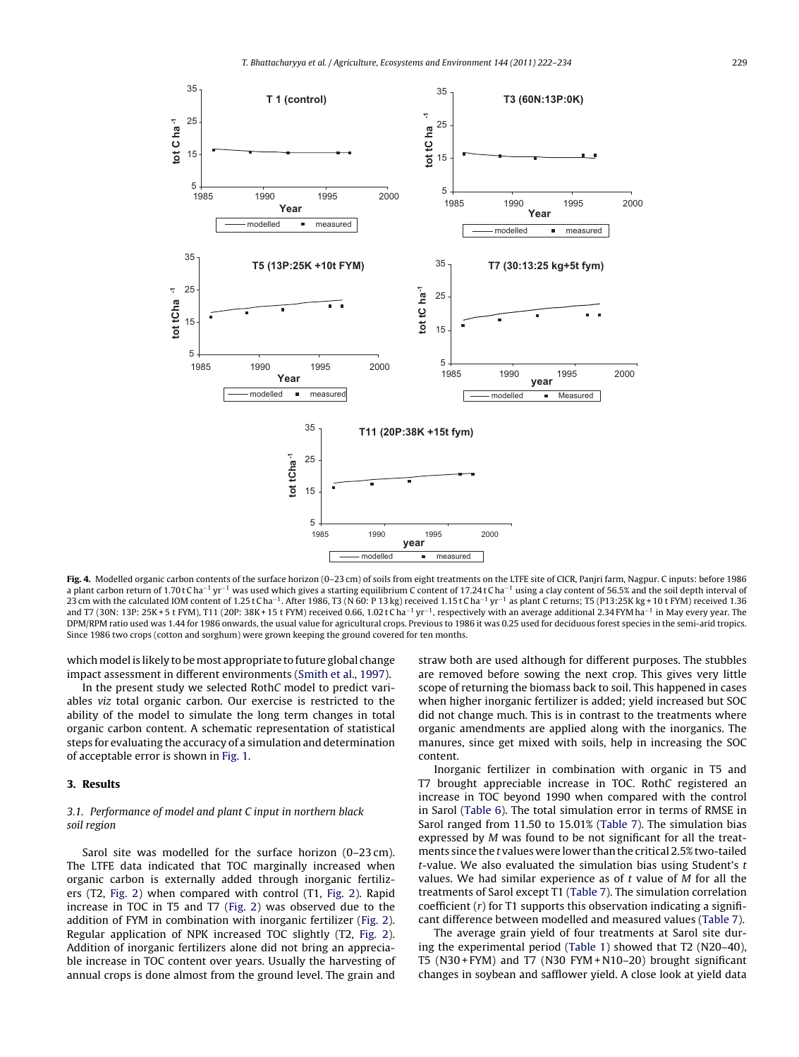<span id="page-7-0"></span>

**Fig. 4.** Modelled organic carbon contents of the surface horizon (0–23 cm) of soils from eight treatments on the LTFE site of CICR, Panjri farm, Nagpur. C inputs: before 1986 a plant carbon return of 1.70 t C ha<sup>-1</sup> yr<sup>-1</sup> was used which gives a starting equilibrium C content of 17.24 t C ha<sup>-1</sup> using a clay content of 56.5% and the soil depth interval of 23 cm with the calculated IOM content of 1.25 t Cha<sup>-1</sup>. After 1986, T3 (N 60: P 13 kg) received 1.15 t Cha<sup>-1</sup> yr<sup>-1</sup> as plant C returns; T5 (P13:25K kg + 10 t FYM) received 1.36 and T7 (30N: 13P: 25K + 5 t FYM), T11 (20P: 38K + 15 t FYM) received 0.66, 1.02 t C ha<sup>-1</sup> yr<sup>-1</sup>, respectively with an average additional 2.34 FYM ha<sup>-1</sup> in May every year. The DPM/RPM ratio used was 1.44 for 1986 onwards, the usual value for agricultural crops. Previous to 1986 it was 0.25 used for deciduous forest species in the semi-arid tropics. Since 1986 two crops (cotton and sorghum) were grown keeping the ground covered for ten months.

which model is likely to be most appropriate to future global change impact assessment in different environments [\(Smith et al., 1997\).](#page-11-0)

In the present study we selected RothC model to predict variables viz total organic carbon. Our exercise is restricted to the ability of the model to simulate the long term changes in total organic carbon content. A schematic representation of statistical steps for evaluating the accuracy of a simulation and determination of acceptable error is shown in [Fig. 1.](#page-3-0)

# **3. Results**

# 3.1. Performance of model and plant C input in northern black soil region

Sarol site was modelled for the surface horizon (0–23 cm). The LTFE data indicated that TOC marginally increased when organic carbon is externally added through inorganic fertilizers (T2, [Fig. 2\)](#page-4-0) when compared with control (T1, [Fig. 2\).](#page-4-0) Rapid increase in TOC in T5 and T7 ([Fig. 2\)](#page-4-0) was observed due to the addition of FYM in combination with inorganic fertilizer [\(Fig. 2\).](#page-4-0) Regular application of NPK increased TOC slightly (T2, [Fig. 2\)](#page-4-0). Addition of inorganic fertilizers alone did not bring an appreciable increase in TOC content over years. Usually the harvesting of annual crops is done almost from the ground level. The grain and

straw both are used although for different purposes. The stubbles are removed before sowing the next crop. This gives very little scope of returning the biomass back to soil. This happened in cases when higher inorganic fertilizer is added; yield increased but SOC did not change much. This is in contrast to the treatments where organic amendments are applied along with the inorganics. The manures, since get mixed with soils, help in increasing the SOC content.

Inorganic fertilizer in combination with organic in T5 and T7 brought appreciable increase in TOC. RothC registered an increase in TOC beyond 1990 when compared with the control in Sarol ([Table 6\).](#page-4-0) The total simulation error in terms of RMSE in Sarol ranged from 11.50 to 15.01% ([Table 7\).](#page-5-0) The simulation bias expressed by M was found to be not significant for all the treatments since the t values were lower than the critical 2.5% two-tailed t-value. We also evaluated the simulation bias using Student's  $t$ values. We had similar experience as of t value of M for all the treatments of Sarol except T1 ([Table 7\).](#page-5-0) The simulation correlation coefficient  $(r)$  for T1 supports this observation indicating a significant difference between modelled and measured values ([Table 7\).](#page-5-0)

The average grain yield of four treatments at Sarol site during the experimental period ([Table 1\)](#page-1-0) showed that T2 (N20–40), T5 (N30 + FYM) and T7 (N30 FYM + N10–20) brought significant changes in soybean and safflower yield. A close look at yield data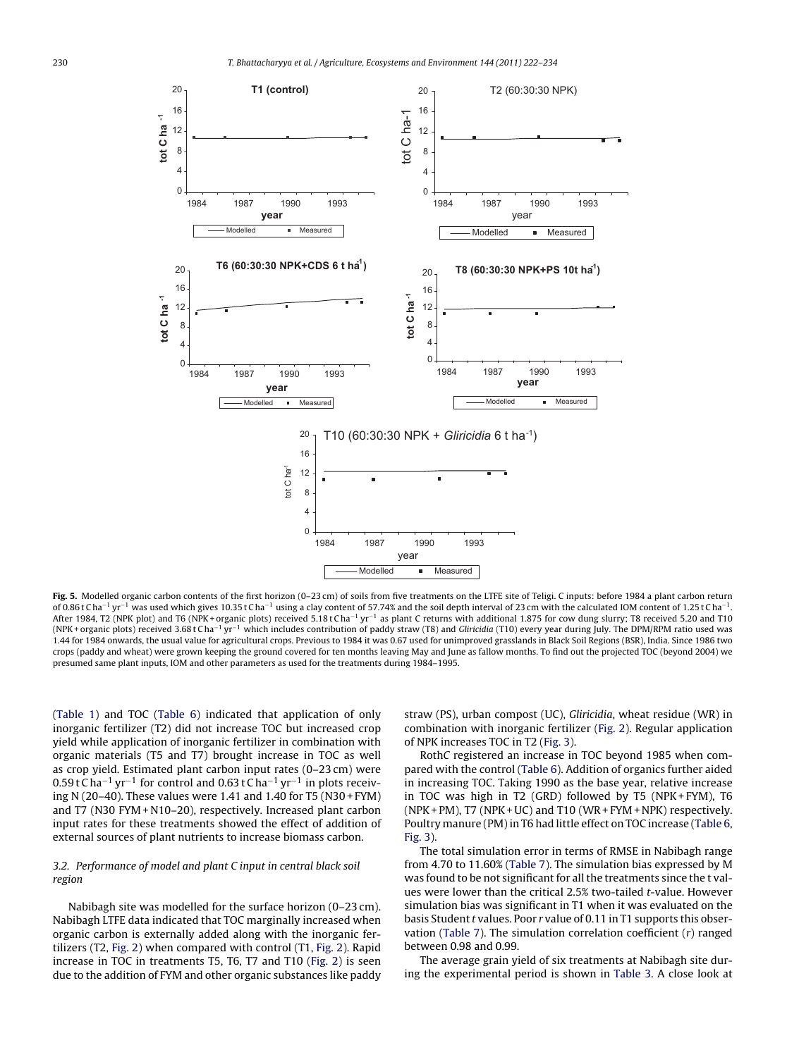<span id="page-8-0"></span>

Fig. 5. Modelled organic carbon contents of the first horizon (0-23 cm) of soils from five treatments on the LTFE site of Teligi. C inputs: before 1984 a plant carbon return of 0.86 t C ha<sup>-1</sup> yr<sup>-1</sup> was used which gives 10.35 t Cha<sup>-1</sup> using a clay content of 57.74% and the soil depth interval of 23 cm with the calculated IOM content of 1.25 t Cha<sup>-1</sup>. After 1984, T2 (NPK plot) and T6 (NPK+ organic plots) received 5.18 t Cha<sup>-1</sup> yr<sup>-1</sup> as plant C returns with additional 1.875 for cow dung slurry; T8 received 5.20 and T10 (NPK + organic plots) received 3.68 t C ha−<sup>1</sup> yr−<sup>1</sup> which includes contribution of paddy straw (T8) and Gliricidia (T10) every year during July. The DPM/RPM ratio used was 1.44 for 1984 onwards, the usual value for agricultural crops. Previous to 1984 it was 0.67 used for unimproved grasslands in Black Soil Regions (BSR), India. Since 1986 two crops (paddy and wheat) were grown keeping the ground covered for ten months leaving May and June as fallow months. To find out the projected TOC (beyond 2004) we presumed same plant inputs, IOM and other parameters as used for the treatments during 1984–1995.

([Table 1\)](#page-1-0) and TOC ([Table 6\)](#page-4-0) indicated that application of only inorganic fertilizer (T2) did not increase TOC but increased crop yield while application of inorganic fertilizer in combination with organic materials (T5 and T7) brought increase in TOC as well as crop yield. Estimated plant carbon input rates (0–23 cm) were  $0.59$  t C ha<sup>-1</sup> yr<sup>-1</sup> for control and 0.63 t C ha<sup>-1</sup> yr<sup>-1</sup> in plots receiving N (20–40). These values were 1.41 and 1.40 for T5 (N30 + FYM) and T7 (N30 FYM + N10–20), respectively. Increased plant carbon input rates for these treatments showed the effect of addition of external sources of plant nutrients to increase biomass carbon.

# 3.2. Performance of model and plant C input in central black soil region

Nabibagh site was modelled for the surface horizon (0–23 cm). Nabibagh LTFE data indicated that TOC marginally increased when organic carbon is externally added along with the inorganic fertilizers (T2, [Fig. 2\)](#page-4-0) when compared with control (T1, [Fig. 2\).](#page-4-0) Rapid increase in TOC in treatments T5, T6, T7 and T10 ([Fig. 2\)](#page-4-0) is seen due to the addition of FYM and other organic substances like paddy straw (PS), urban compost (UC), Gliricidia, wheat residue (WR) in combination with inorganic fertilizer [\(Fig. 2\).](#page-4-0) Regular application of NPK increases TOC in T2 [\(Fig. 3\).](#page-6-0)

RothC registered an increase in TOC beyond 1985 when compared with the control [\(Table 6\).](#page-4-0) Addition of organics further aided in increasing TOC. Taking 1990 as the base year, relative increase in TOC was high in T2 (GRD) followed by T5 (NPK + FYM), T6 (NPK + PM), T7 (NPK + UC) and T10 (WR + FYM + NPK) respectively. Poultry manure (PM) in T6 had little effect on TOC increase [\(Table 6,](#page-4-0) [Fig. 3\).](#page-6-0)

The total simulation error in terms of RMSE in Nabibagh range from 4.70 to 11.60% ([Table 7\).](#page-5-0) The simulation bias expressed by M was found to be not significant for all the treatments since the t values were lower than the critical 2.5% two-tailed t-value. However simulation bias was significant in T1 when it was evaluated on the basis Student  $t$  values. Poor  $r$  value of 0.11 in T1 supports this obser-vation [\(Table 7\).](#page-5-0) The simulation correlation coefficient  $(r)$  ranged between 0.98 and 0.99.

The average grain yield of six treatments at Nabibagh site during the experimental period is shown in [Table 3.](#page-1-0) A close look at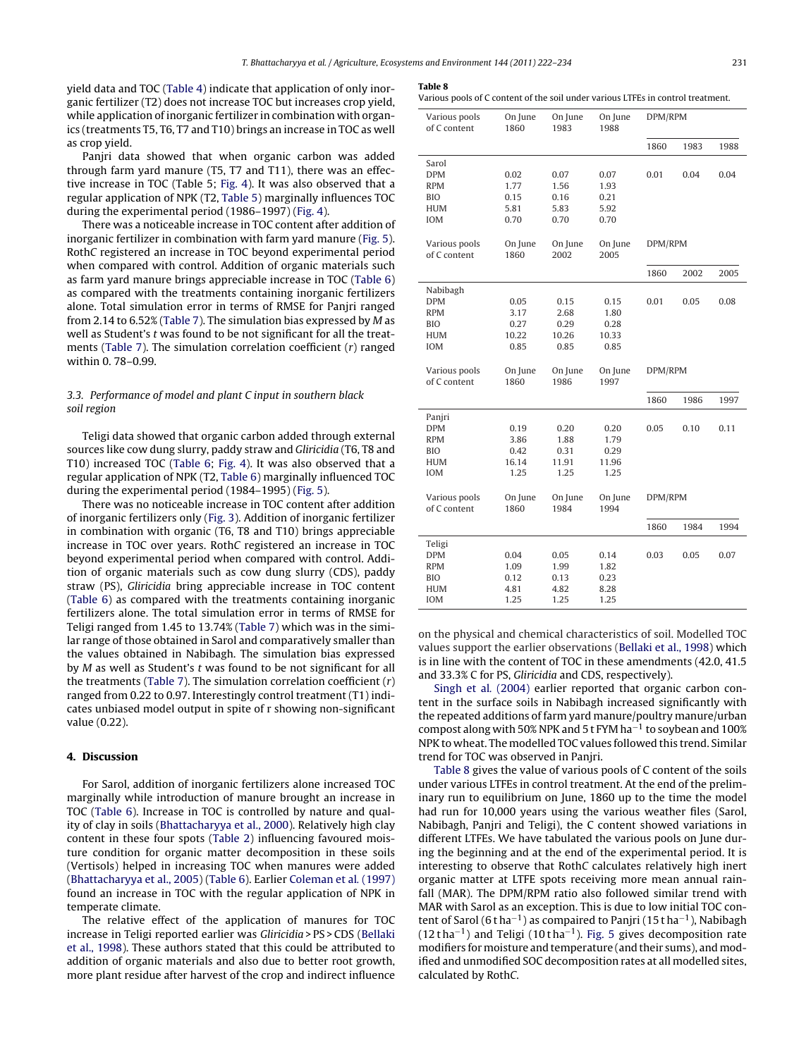yield data and TOC [\(Table 4\) i](#page-2-0)ndicate that application of only inorganic fertilizer (T2) does not increase TOC but increases crop yield, while application of inorganic fertilizer in combination with organics (treatments T5, T6, T7 and T10) brings an increase in TOC as well as crop yield.

Panjri data showed that when organic carbon was added through farm yard manure (T5, T7 and T11), there was an effective increase in TOC (Table 5; [Fig. 4\).](#page-7-0) It was also observed that a regular application of NPK (T2, [Table 5\)](#page-2-0) marginally influences TOC during the experimental period (1986–1997) [\(Fig. 4\).](#page-7-0)

There was a noticeable increase in TOC content after addition of inorganic fertilizer in combination with farm yard manure [\(Fig. 5\).](#page-8-0) RothC registered an increase in TOC beyond experimental period when compared with control. Addition of organic materials such as farm yard manure brings appreciable increase in TOC [\(Table 6\)](#page-4-0) as compared with the treatments containing inorganic fertilizers alone. Total simulation error in terms of RMSE for Panjri ranged from 2.14 to 6.52% ([Table 7\).](#page-5-0) The simulation bias expressed by M as well as Student's t was found to be not significant for all the treatments [\(Table 7\).](#page-5-0) The simulation correlation coefficient (r) ranged within 0. 78–0.99.

# 3.3. Performance of model and plant C input in southern black soil region

Teligi data showed that organic carbon added through external sources like cow dung slurry, paddy straw and Gliricidia (T6, T8 and T10) increased TOC [\(Table 6;](#page-4-0) [Fig. 4\).](#page-7-0) It was also observed that a regular application of NPK (T2, [Table 6\)](#page-4-0) marginally influenced TOC during the experimental period (1984–1995) [\(Fig. 5\).](#page-8-0)

There was no noticeable increase in TOC content after addition of inorganic fertilizers only [\(Fig. 3\).](#page-6-0) Addition of inorganic fertilizer in combination with organic (T6, T8 and T10) brings appreciable increase in TOC over years. RothC registered an increase in TOC beyond experimental period when compared with control. Addition of organic materials such as cow dung slurry (CDS), paddy straw (PS), Gliricidia bring appreciable increase in TOC content ([Table 6\)](#page-4-0) as compared with the treatments containing inorganic fertilizers alone. The total simulation error in terms of RMSE for Teligi ranged from 1.45 to 13.74% ([Table 7\)](#page-5-0) which was in the similar range of those obtained in Sarol and comparatively smaller than the values obtained in Nabibagh. The simulation bias expressed by M as well as Student's t was found to be not significant for all the treatments ([Table 7\).](#page-5-0) The simulation correlation coefficient  $(r)$ ranged from 0.22 to 0.97. Interestingly control treatment (T1) indicates unbiased model output in spite of r showing non-significant value (0.22).

#### **4. Discussion**

For Sarol, addition of inorganic fertilizers alone increased TOC marginally while introduction of manure brought an increase in TOC [\(Table 6\).](#page-4-0) Increase in TOC is controlled by nature and quality of clay in soils [\(Bhattacharyya et al., 2000\).](#page-11-0) Relatively high clay content in these four spots ([Table 2\)](#page-1-0) influencing favoured moisture condition for organic matter decomposition in these soils (Vertisols) helped in increasing TOC when manures were added ([Bhattacharyya et al., 2005\) \(](#page-11-0)[Table 6\).](#page-4-0) Earlier [Coleman et al](#page-11-0). [\(1997\)](#page-11-0) found an increase in TOC with the regular application of NPK in temperate climate.

The relative effect of the application of manures for TOC increase in Teligi reported earlier was Gliricidia > PS > CDS ([Bellaki](#page-11-0) [et al., 1998\).](#page-11-0) These authors stated that this could be attributed to addition of organic materials and also due to better root growth, more plant residue after harvest of the crop and indirect influence

#### **Table 8**

Various pools of C content of the soil under various LTFEs in control treatment.

| Various pools<br>of C content                                                  | On June<br>1860                       | On June<br>1983                       | On June<br>1988                       | DPM/RPM |      |      |
|--------------------------------------------------------------------------------|---------------------------------------|---------------------------------------|---------------------------------------|---------|------|------|
|                                                                                |                                       |                                       |                                       | 1860    | 1983 | 1988 |
| Sarol<br><b>DPM</b><br><b>RPM</b><br><b>BIO</b><br><b>HUM</b><br><b>IOM</b>    | 0.02<br>1.77<br>0.15<br>5.81<br>0.70  | 0.07<br>1.56<br>0.16<br>5.83<br>0.70  | 0.07<br>1.93<br>0.21<br>5.92<br>0.70  | 0.01    | 0.04 | 0.04 |
| Various pools<br>of C content                                                  | On June<br>1860                       | On June<br>2002                       | On June<br>2005                       | DPM/RPM |      |      |
|                                                                                |                                       |                                       |                                       | 1860    | 2002 | 2005 |
| Nabibagh<br><b>DPM</b><br><b>RPM</b><br><b>BIO</b><br><b>HUM</b><br><b>IOM</b> | 0.05<br>3.17<br>0.27<br>10.22<br>0.85 | 0.15<br>2.68<br>0.29<br>10.26<br>0.85 | 0.15<br>1.80<br>0.28<br>10.33<br>0.85 | 0.01    | 0.05 | 0.08 |
|                                                                                |                                       |                                       |                                       |         |      |      |
| Various pools<br>of C content                                                  | On June<br>1860                       | On June<br>1986                       | On June<br>1997                       | DPM/RPM |      |      |
|                                                                                |                                       |                                       |                                       | 1860    | 1986 | 1997 |
| Panjri<br><b>DPM</b><br><b>RPM</b><br><b>BIO</b><br><b>HUM</b><br><b>IOM</b>   | 0.19<br>3.86<br>0.42<br>16.14<br>1.25 | 0.20<br>1.88<br>0.31<br>11.91<br>1.25 | 0.20<br>1.79<br>0.29<br>11.96<br>1.25 | 0.05    | 0.10 | 0.11 |
| Various pools<br>of C content                                                  | On June<br>1860                       | On June<br>1984                       | On June<br>1994                       | DPM/RPM |      |      |
|                                                                                |                                       |                                       |                                       | 1860    | 1984 | 1994 |

on the physical and chemical characteristics of soil. Modelled TOC values support the earlier observations ([Bellaki et al., 1998\)](#page-11-0) which is in line with the content of TOC in these amendments (42.0, 41.5 and 33.3% C for PS, Gliricidia and CDS, respectively).

[Singh et al](#page-11-0). [\(2004\)](#page-11-0) earlier reported that organic carbon content in the surface soils in Nabibagh increased significantly with the repeated additions of farm yard manure/poultry manure/urban compost along with 50% NPK and 5 t FYM ha−<sup>1</sup> to soybean and 100% NPK to wheat. The modelled TOC values followed this trend. Similar trend for TOC was observed in Panjri.

Table 8 gives the value of various pools of C content of the soils under various LTFEs in control treatment. At the end of the preliminary run to equilibrium on June, 1860 up to the time the model had run for 10,000 years using the various weather files (Sarol, Nabibagh, Panjri and Teligi), the C content showed variations in different LTFEs. We have tabulated the various pools on June during the beginning and at the end of the experimental period. It is interesting to observe that RothC calculates relatively high inert organic matter at LTFE spots receiving more mean annual rainfall (MAR). The DPM/RPM ratio also followed similar trend with MAR with Sarol as an exception. This is due to low initial TOC content of Sarol (6 t ha<sup>-1</sup>) as compaired to Panjri (15 t ha<sup>-1</sup>), Nabibagh (12 t ha<sup>-1</sup>) and Teligi (10 t ha<sup>-1</sup>). [Fig. 5](#page-8-0) gives decomposition rate modifiers for moisture and temperature (and their sums), and modified and unmodified SOC decomposition rates at all modelled sites, calculated by RothC.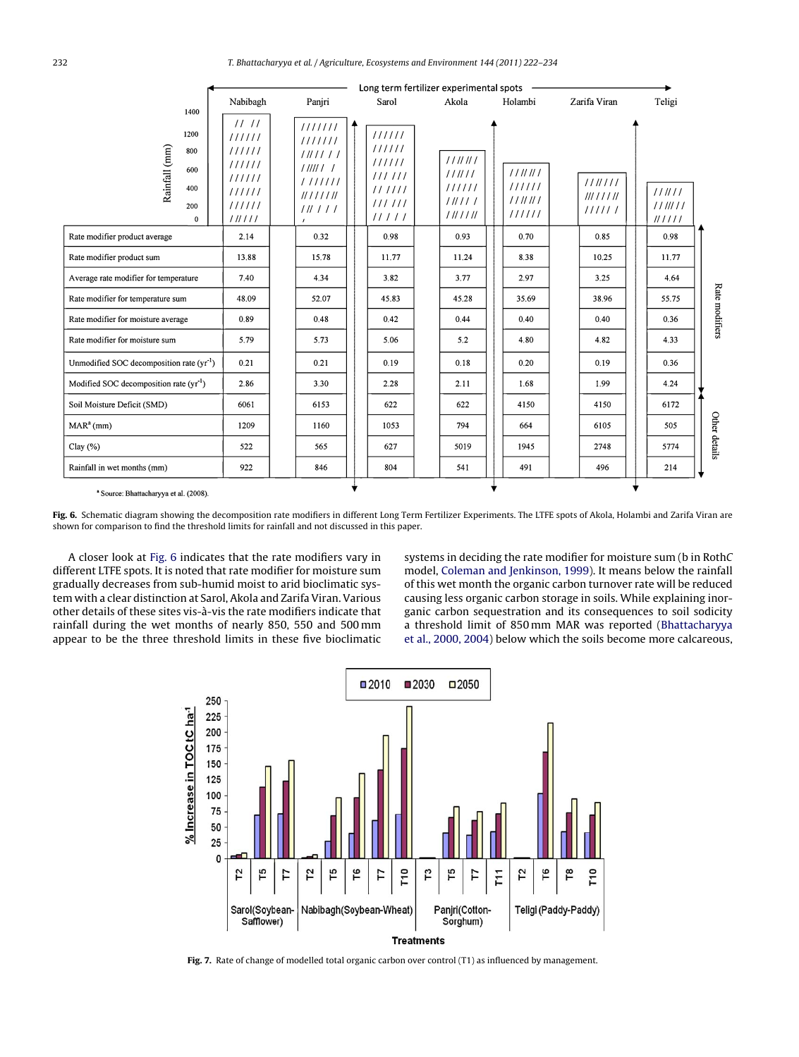<span id="page-10-0"></span>

|                                                               |                                                                            |                                                                                       |                                                                   | Long term fertilizer experimental spots        |                                      |                               |                            |
|---------------------------------------------------------------|----------------------------------------------------------------------------|---------------------------------------------------------------------------------------|-------------------------------------------------------------------|------------------------------------------------|--------------------------------------|-------------------------------|----------------------------|
| 1400                                                          | Nabibagh                                                                   | Panjri                                                                                | Sarol                                                             | Akola                                          | Holambi                              | Zarifa Viran                  | Teligi                     |
| 1200<br>Rainfall (mm)<br>800<br>600<br>400<br>200<br>$\Omega$ | 1111<br>111111<br>111111<br>111111<br>111111<br>111111<br>111111<br>111111 | 1111111<br>1111111<br>1111111<br>1111111<br>1111111<br>11111111<br>111111<br>$\prime$ | 111111<br>111111<br>111111<br>111111<br>111111<br>111111<br>11111 | 111111<br>111111<br>111111<br>111111<br>111111 | 111111<br>111111<br>111111<br>111111 | 1111111<br>IIIIIIII<br>111111 | 111111<br>1111111<br>IIIII |
| Rate modifier product average                                 | 2.14                                                                       | 0.32                                                                                  | 0.98                                                              | 0.93                                           | 0.70                                 | 0.85                          | 0.98                       |
| Rate modifier product sum                                     | 13.88                                                                      | 15.78                                                                                 | 11.77                                                             | 11.24                                          | 8.38                                 | 10.25                         | 11.77                      |
| Average rate modifier for temperature                         | 7.40                                                                       | 4.34                                                                                  | 3.82                                                              | 3.77                                           | 2.97                                 | 3.25                          | 4.64                       |
| Rate modifier for temperature sum                             | 48.09                                                                      | 52.07                                                                                 | 45.83                                                             | 45.28                                          | 35.69                                | 38.96                         | 55.75                      |
| Rate modifier for moisture average                            | 0.89                                                                       | 0.48                                                                                  | 0.42                                                              | 0.44                                           | 0.40                                 | 0.40                          | 0.36                       |
| Rate modifier for moisture sum                                | 5.79                                                                       | 5.73                                                                                  | 5.06                                                              | 5.2                                            | 4.80                                 | 4.82                          | 4.33                       |
| Unmodified SOC decomposition rate $(yr^{-1})$                 | 0.21                                                                       | 0.21                                                                                  | 0.19                                                              | 0.18                                           | 0.20                                 | 0.19                          | 0.36                       |
| Modified SOC decomposition rate $(yr^{-1})$                   | 2.86                                                                       | 3.30                                                                                  | 2.28                                                              | 2.11                                           | 1.68                                 | 1.99                          | 4.24                       |
| Soil Moisture Deficit (SMD)                                   | 6061                                                                       | 6153                                                                                  | 622                                                               | 622                                            | 4150                                 | 4150                          | 6172                       |
| $MARa$ (mm)                                                   | 1209                                                                       | 1160                                                                                  | 1053                                                              | 794                                            | 664                                  | 6105                          | 505                        |
| Clay $(\% )$                                                  | 522                                                                        | 565                                                                                   | 627                                                               | 5019                                           | 1945                                 | 2748                          | 5774                       |
| Rainfall in wet months (mm)                                   | 922                                                                        | 846                                                                                   | 804                                                               | 541                                            | 491                                  | 496                           | 214                        |

**Fig. 6.** Schematic diagram showing the decomposition rate modifiers in different Long Term Fertilizer Experiments. The LTFE spots of Akola, Holambi and Zarifa Viran are shown for comparison to find the threshold limits for rainfall and not discussed in this paper.

A closer look at Fig. 6 indicates that the rate modifiers vary in different LTFE spots. It is noted that rate modifier for moisture sum gradually decreases from sub-humid moist to arid bioclimatic system with a clear distinction at Sarol, Akola and Zarifa Viran. Various other details of these sites vis-à-vis the rate modifiers indicate that rainfall during the wet months of nearly 850, 550 and 500 mm appear to be the three threshold limits in these five bioclimatic

systems in deciding the rate modifier for moisture sum (b in RothC model, [Coleman and Jenkinson, 1999\).](#page-11-0) It means below the rainfall of this wet month the organic carbon turnover rate will be reduced causing less organic carbon storage in soils. While explaining inorganic carbon sequestration and its consequences to soil sodicity a threshold limit of 850 mm MAR was reported [\(Bhattacharyya](#page-11-0) [et al., 2000, 2004\)](#page-11-0) below which the soils become more calcareous,



**Fig. 7.** Rate of change of modelled total organic carbon over control (T1) as influenced by management.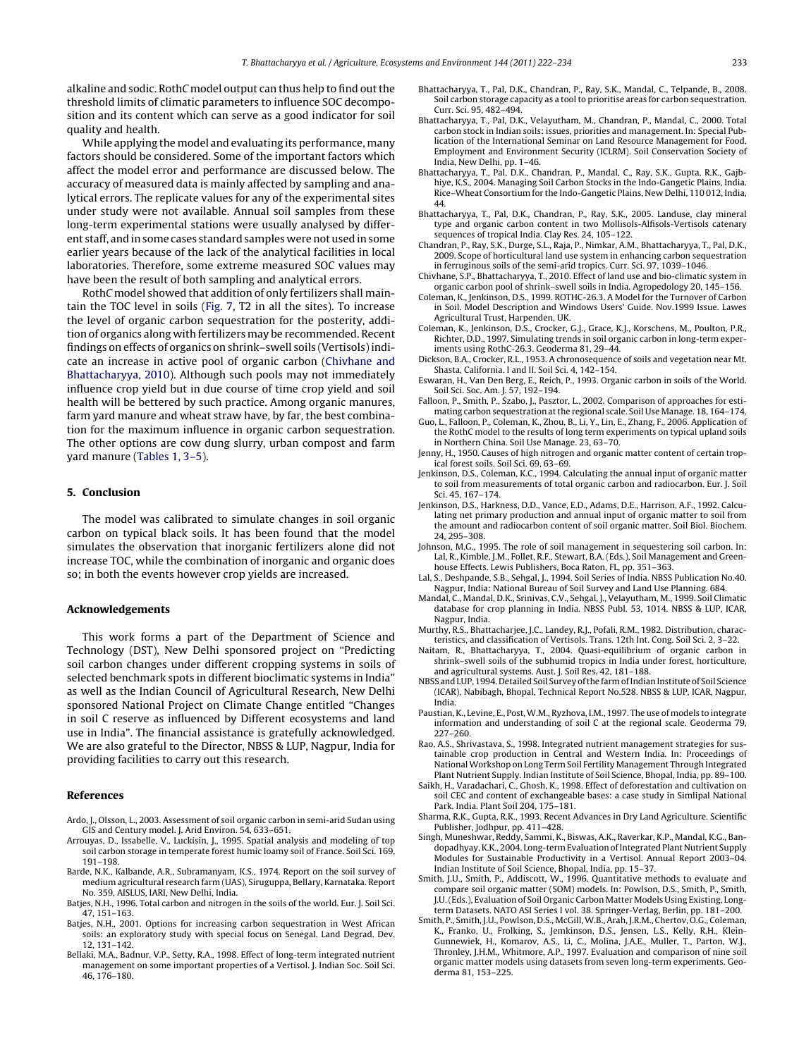<span id="page-11-0"></span>alkaline and sodic. RothC model output can thus help to find out the threshold limits of climatic parameters to influence SOC decomposition and its content which can serve as a good indicator for soil quality and health.

While applying the model and evaluating its performance, many factors should be considered. Some of the important factors which affect the model error and performance are discussed below. The accuracy of measured data is mainly affected by sampling and analytical errors. The replicate values for any of the experimental sites under study were not available. Annual soil samples from these long-term experimental stations were usually analysed by different staff, and in some cases standard samples were not used in some earlier years because of the lack of the analytical facilities in local laboratories. Therefore, some extreme measured SOC values may have been the result of both sampling and analytical errors.

RothC model showed that addition of only fertilizers shall maintain the TOC level in soils [\(Fig. 7,](#page-10-0) T2 in all the sites). To increase the level of organic carbon sequestration for the posterity, addition of organics along with fertilizers may be recommended. Recent findings on effects of organics on shrink–swell soils (Vertisols) indicate an increase in active pool of organic carbon (Chivhane and Bhattacharyya, 2010). Although such pools may not immediately influence crop yield but in due course of time crop yield and soil health will be bettered by such practice. Among organic manures, farm yard manure and wheat straw have, by far, the best combination for the maximum influence in organic carbon sequestration. The other options are cow dung slurry, urban compost and farm yard manure ([Tables 1, 3–5\).](#page-1-0)

## **5. Conclusion**

The model was calibrated to simulate changes in soil organic carbon on typical black soils. It has been found that the model simulates the observation that inorganic fertilizers alone did not increase TOC, while the combination of inorganic and organic does so; in both the events however crop yields are increased.

#### **Acknowledgements**

This work forms a part of the Department of Science and Technology (DST), New Delhi sponsored project on "Predicting soil carbon changes under different cropping systems in soils of selected benchmark spots in different bioclimatic systems in India" as well as the Indian Council of Agricultural Research, New Delhi sponsored National Project on Climate Change entitled "Changes in soil C reserve as influenced by Different ecosystems and land use in India". The financial assistance is gratefully acknowledged. We are also grateful to the Director, NBSS & LUP, Nagpur, India for providing facilities to carry out this research.

#### **References**

- Ardo, J., Olsson, L., 2003. Assessment of soil organic carbon in semi-arid Sudan using GIS and Century model. J. Arid Environ. 54, 633–651.
- Arrouyas, D., Issabelle, V., Luckisin, J., 1995. Spatial analysis and modeling of top soil carbon storage in temperate forest humic loamy soil of France. Soil Sci. 169, 191–198.
- Barde, N.K., Kalbande, A.R., Subramanyam, K.S., 1974. Report on the soil survey of medium agricultural research farm (UAS), Siruguppa, Bellary, Karnataka. Report No. 359, AISLUS, IARI, New Delhi, India.
- Batjes, N.H., 1996. Total carbon and nitrogen in the soils of the world. Eur. J. Soil Sci. 47, 151–163.
- Batjes, N.H., 2001. Options for increasing carbon sequestration in West African soils: an exploratory study with special focus on Senegal. Land Degrad. Dev. 12, 131–142.
- Bellaki, M.A., Badnur, V.P., Setty, R.A., 1998. Effect of long-term integrated nutrient management on some important properties of a Vertisol. J. Indian Soc. Soil Sci. 46, 176–180.
- Bhattacharyya, T., Pal, D.K., Chandran, P., Ray, S.K., Mandal, C., Telpande, B., 2008. Soil carbon storage capacity as a tool to prioritise areas for carbon sequestration. Curr. Sci. 95, 482–494.
- Bhattacharyya, T., Pal, D.K., Velayutham, M., Chandran, P., Mandal, C., 2000. Total carbon stock in Indian soils: issues, priorities and management. In: Special Publication of the International Seminar on Land Resource Management for Food. Employment and Environment Security (ICLRM). Soil Conservation Society of India, New Delhi, pp. 1–46.
- Bhattacharyya, T., Pal, D.K., Chandran, P., Mandal, C., Ray, S.K., Gupta, R.K., Gajbhiye, K.S., 2004. Managing Soil Carbon Stocks in the Indo-Gangetic Plains, India. Rice–Wheat Consortium for the Indo-Gangetic Plains, New Delhi, 110 012, India, 44.
- Bhattacharyya, T., Pal, D.K., Chandran, P., Ray, S.K., 2005. Landuse, clay mineral type and organic carbon content in two Mollisols-Alfisols-Vertisols catenary sequences of tropical India. Clay Res. 24, 105–122.
- Chandran, P., Ray, S.K., Durge, S.L., Raja, P., Nimkar, A.M., Bhattacharyya, T., Pal, D.K., 2009. Scope of horticultural land use system in enhancing carbon sequestration in ferruginous soils of the semi-arid tropics. Curr. Sci. 97, 1039–1046.
- Chivhane, S.P., Bhattacharyya, T., 2010. Effect of land use and bio-climatic system in organic carbon pool of shrink–swell soils in India. Agropedology 20, 145–156.
- Coleman, K., Jenkinson, D.S., 1999. ROTHC-26.3. A Model for the Turnover of Carbon in Soil. Model Description and Windows Users' Guide. Nov.1999 Issue. Lawes Agricultural Trust, Harpenden, UK.
- Coleman, K., Jenkinson, D.S., Crocker, G.J., Grace, K.J., Korschens, M., Poulton, P.R., Richter, D.D., 1997. Simulating trends in soil organic carbon in long-term experiments using RothC-26.3. Geoderma 81, 29–44.
- Dickson, B.A., Crocker, R.L., 1953. A chronosequence of soils and vegetation near Mt. Shasta, California. I and II. Soil Sci. 4, 142–154.
- Eswaran, H., Van Den Berg, E., Reich, P., 1993. Organic carbon in soils of the World. Soil Sci. Soc. Am. J. 57, 192–194.
- Falloon, P., Smith, P., Szabo, J., Pasztor, L., 2002. Comparison of approaches for estimating carbon sequestration at the regional scale. Soil Use Manage. 18, 164–174.
- Guo, L., Falloon, P., Coleman, K., Zhou, B., Li, Y., Lin, E., Zhang, F., 2006. Application of the RothC model to the results of long term experiments on typical upland soils in Northern China. Soil Use Manage. 23, 63–70.
- Jenny, H., 1950. Causes of high nitrogen and organic matter content of certain tropical forest soils. Soil Sci. 69, 63–69.
- Jenkinson, D.S., Coleman, K.C., 1994. Calculating the annual input of organic matter to soil from measurements of total organic carbon and radiocarbon. Eur. J. Soil Sci. 45, 167–174.
- Jenkinson, D.S., Harkness, D.D., Vance, E.D., Adams, D.E., Harrison, A.F., 1992. Calculating net primary production and annual input of organic matter to soil from the amount and radiocarbon content of soil organic matter. Soil Biol. Biochem. 24, 295–308.
- Johnson, M.G., 1995. The role of soil management in sequestering soil carbon. In: Lal, R., Kimble, J.M., Follet, R.F., Stewart, B.A. (Eds.), Soil Management and Greenhouse Effects. Lewis Publishers, Boca Raton, FL, pp. 351–363.
- Lal, S., Deshpande, S.B., Sehgal, J., 1994. Soil Series of India. NBSS Publication No.40. Nagpur, India: National Bureau of Soil Survey and Land Use Planning. 684.
- Mandal, C., Mandal, D.K., Srinivas, C.V., Sehgal, J., Velayutham, M., 1999. Soil Climatic database for crop planning in India. NBSS Publ. 53, 1014. NBSS & LUP, ICAR, Nagpur, India.
- Murthy, R.S., Bhattacharjee, J.C., Landey, R.J., Pofali, R.M., 1982. Distribution, characteristics, and classification of Vertisols. Trans. 12th Int. Cong. Soil Sci. 2, 3–22.
- Naitam, R., Bhattacharyya, T., 2004. Quasi-equilibrium of organic carbon in shrink–swell soils of the subhumid tropics in India under forest, horticulture, and agricultural systems. Aust. J. Soil Res. 42, 181–188.
- NBSS and LUP, 1994. Detailed Soil Survey of the farm of Indian Institute of Soil Science (ICAR), Nabibagh, Bhopal, Technical Report No.528. NBSS & LUP, ICAR, Nagpur, India.
- Paustian, K., Levine, E., Post,W.M., Ryzhova, I.M., 1997. The use of models to integrate information and understanding of soil C at the regional scale. Geoderma 79, 227–260.
- Rao, A.S., Shrivastava, S., 1998. Integrated nutrient management strategies for sustainable crop production in Central and Western India. In: Proceedings of National Workshop on Long Term Soil Fertility Management Through Integrated Plant Nutrient Supply. Indian Institute of Soil Science, Bhopal, India, pp. 89–100.
- Saikh, H., Varadachari, C., Ghosh, K., 1998. Effect of deforestation and cultivation on soil CEC and content of exchangeable bases: a case study in Simlipal National Park. India. Plant Soil 204, 175–181.
- Sharma, R.K., Gupta, R.K., 1993. Recent Advances in Dry Land Agriculture. Scientific Publisher, Jodhpur, pp. 411–428.
- Singh, Muneshwar, Reddy, Sammi, K., Biswas, A.K., Raverkar, K.P., Mandal, K.G., Bandopadhyay, K.K., 2004. Long-term Evaluation of Integrated Plant Nutrient Supply Modules for Sustainable Productivity in a Vertisol. Annual Report 2003–04. Indian Institute of Soil Science, Bhopal, India, pp. 15–37.
- Smith, J.U., Smith, P., Addiscott, W., 1996. Quantitative methods to evaluate and compare soil organic matter (SOM) models. In: Powlson, D.S., Smith, P., Smith, J.U. (Eds.), Evaluation of Soil Organic Carbon Matter Models Using Existing, Longterm Datasets. NATO ASI Series I vol. 38. Springer-Verlag, Berlin, pp. 181–200.
- Smith, P., Smith, J.U., Powlson, D.S., McGill,W.B., Arah, J.R.M., Chertov, O.G., Coleman, K., Franko, U., Frolking, S., Jemkinson, D.S., Jensen, L.S., Kelly, R.H., Klein-Gunnewiek, H., Komarov, A.S., Li, C., Molina, J.A.E., Muller, T., Parton, W.J., Thronley, J.H.M., Whitmore, A.P., 1997. Evaluation and comparison of nine soil organic matter models using datasets from seven long-term experiments. Geoderma 81, 153–225.